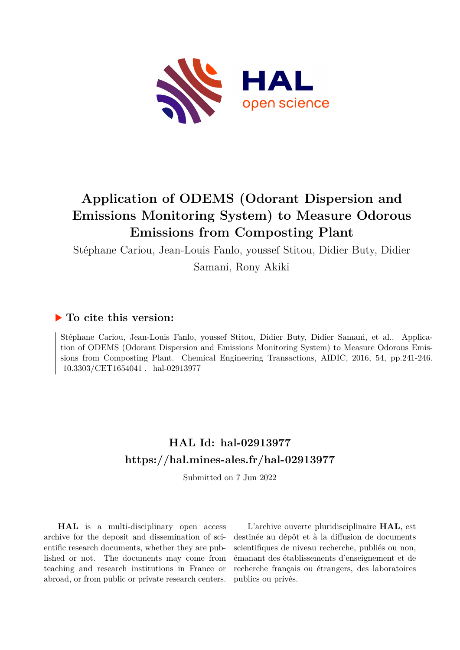

# **Application of ODEMS (Odorant Dispersion and Emissions Monitoring System) to Measure Odorous Emissions from Composting Plant**

Stéphane Cariou, Jean-Louis Fanlo, youssef Stitou, Didier Buty, Didier

Samani, Rony Akiki

# **To cite this version:**

Stéphane Cariou, Jean-Louis Fanlo, youssef Stitou, Didier Buty, Didier Samani, et al.. Application of ODEMS (Odorant Dispersion and Emissions Monitoring System) to Measure Odorous Emissions from Composting Plant. Chemical Engineering Transactions, AIDIC, 2016, 54, pp.241-246. 10.3303/CET1654041 hal-02913977

# **HAL Id: hal-02913977 <https://hal.mines-ales.fr/hal-02913977>**

Submitted on 7 Jun 2022

**HAL** is a multi-disciplinary open access archive for the deposit and dissemination of scientific research documents, whether they are published or not. The documents may come from teaching and research institutions in France or abroad, or from public or private research centers.

L'archive ouverte pluridisciplinaire **HAL**, est destinée au dépôt et à la diffusion de documents scientifiques de niveau recherche, publiés ou non, émanant des établissements d'enseignement et de recherche français ou étrangers, des laboratoires publics ou privés.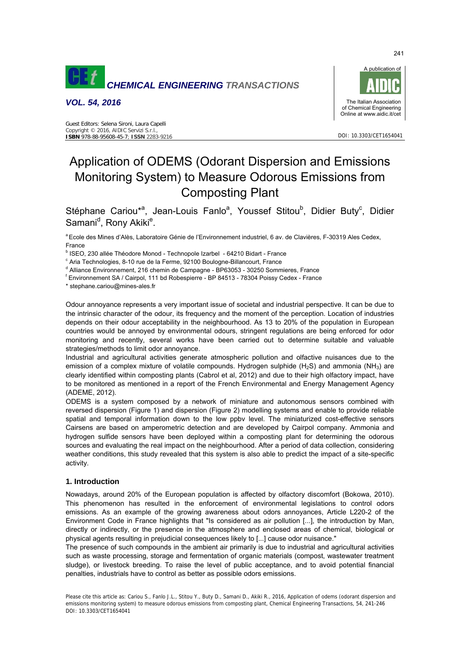

*VOL. 54, 2016* 



# Application of ODEMS (Odorant Dispersion and Emissions Monitoring System) to Measure Odorous Emissions from Composting Plant

Stéphane Cariou\*<sup>a</sup>, Jean-Louis Fanlo<sup>a</sup>, Youssef Stitou<sup>b</sup>, Didier Buty<sup>c</sup>, Didier Samani<sup>d</sup>, Rony Akiki<sup>e</sup>.

<sup>a</sup> Ecole des Mines d'Alès, Laboratoire Génie de l'Environnement industriel, 6 av. de Clavières, F-30319 Ales Cedex, France

<sup>b</sup> ISEO, 230 allée Théodore Monod - Technopole Izarbel - 64210 Bidart - France

<sup>c</sup> Aria Technologies, 8-10 rue de la Ferme, 92100 Boulogne-Billancourt, France<br><sup>d</sup> Alliance Environnement, 316 chemin de Compagne, IBB3053, 30250 Semm

<sup>d</sup> Alliance Environnement, 216 chemin de Campagne - BP63053 - 30250 Sommieres, France

Environnement SA / Cairpol, 111 bd Robespierre - BP 84513 - 78304 Poissy Cedex - France

\* stephane.cariou@mines-ales.fr

Odour annoyance represents a very important issue of societal and industrial perspective. It can be due to the intrinsic character of the odour, its frequency and the moment of the perception. Location of industries depends on their odour acceptability in the neighbourhood. As 13 to 20% of the population in European countries would be annoyed by environmental odours, stringent regulations are being enforced for odor monitoring and recently, several works have been carried out to determine suitable and valuable strategies/methods to limit odor annoyance.

Industrial and agricultural activities generate atmospheric pollution and olfactive nuisances due to the emission of a complex mixture of volatile compounds. Hydrogen sulphide (H<sub>2</sub>S) and ammonia (NH<sub>3</sub>) are clearly identified within composting plants (Cabrol et al, 2012) and due to their high olfactory impact, have to be monitored as mentioned in a report of the French Environmental and Energy Management Agency (ADEME, 2012).

ODEMS is a system composed by a network of miniature and autonomous sensors combined with reversed dispersion (Figure 1) and dispersion (Figure 2) modelling systems and enable to provide reliable spatial and temporal information down to the low ppbv level. The miniaturized cost-effective sensors Cairsens are based on amperometric detection and are developed by Cairpol company. Ammonia and hydrogen sulfide sensors have been deployed within a composting plant for determining the odorous sources and evaluating the real impact on the neighbourhood. After a period of data collection, considering weather conditions, this study revealed that this system is also able to predict the impact of a site-specific activity.

# **1. Introduction**

Nowadays, around 20% of the European population is affected by olfactory discomfort (Bokowa, 2010). This phenomenon has resulted in the enforcement of environmental legislations to control odors emissions. As an example of the growing awareness about odors annoyances, Article L220-2 of the Environment Code in France highlights that "Is considered as air pollution [...], the introduction by Man, directly or indirectly, or the presence in the atmosphere and enclosed areas of chemical, biological or physical agents resulting in prejudicial consequences likely to [...] cause odor nuisance."

The presence of such compounds in the ambient air primarily is due to industrial and agricultural activities such as waste processing, storage and fermentation of organic materials (compost, wastewater treatment sludge), or livestock breeding. To raise the level of public acceptance, and to avoid potential financial penalties, industrials have to control as better as possible odors emissions.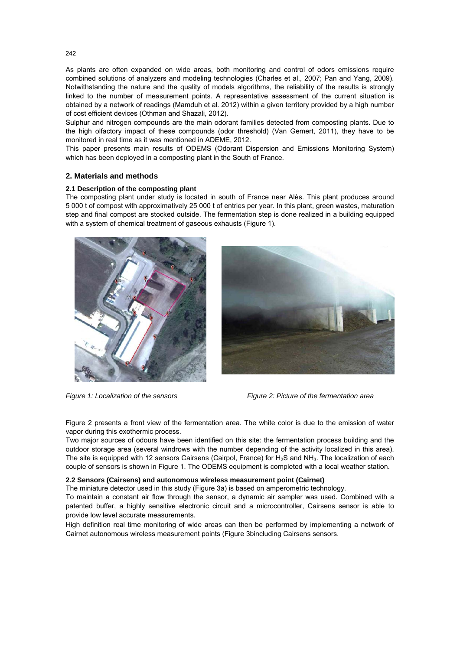As plants are often expanded on wide areas, both monitoring and control of odors emissions require combined solutions of analyzers and modeling technologies (Charles et al., 2007; Pan and Yang, 2009). Notwithstanding the nature and the quality of models algorithms, the reliability of the results is strongly linked to the number of measurement points. A representative assessment of the current situation is obtained by a network of readings (Mamduh et al. 2012) within a given territory provided by a high number of cost efficient devices (Othman and Shazali, 2012).

Sulphur and nitrogen compounds are the main odorant families detected from composting plants. Due to the high olfactory impact of these compounds (odor threshold) (Van Gemert, 2011), they have to be monitored in real time as it was mentioned in ADEME, 2012.

This paper presents main results of ODEMS (Odorant Dispersion and Emissions Monitoring System) which has been deployed in a composting plant in the South of France.

# **2. Materials and methods**

### **2.1 Description of the composting plant**

The composting plant under study is located in south of France near Alès. This plant produces around 5 000 t of compost with approximatively 25 000 t of entries per year. In this plant, green wastes, maturation step and final compost are stocked outside. The fermentation step is done realized in a building equipped with a system of chemical treatment of gaseous exhausts (Figure 1).







*Figure 1: Localization of the sensors Figure 2: Picture of the fermentation area* 

Figure 2 presents a front view of the fermentation area. The white color is due to the emission of water vapor during this exothermic process.

Two major sources of odours have been identified on this site: the fermentation process building and the outdoor storage area (several windrows with the number depending of the activity localized in this area). The site is equipped with 12 sensors Cairsens (Cairpol, France) for H<sub>2</sub>S and NH<sub>3</sub>. The localization of each couple of sensors is shown in Figure 1. The ODEMS equipment is completed with a local weather station.

#### **2.2 Sensors (Cairsens) and autonomous wireless measurement point (Cairnet)**

The miniature detector used in this study (Figure 3a) is based on amperometric technology.

To maintain a constant air flow through the sensor, a dynamic air sampler was used. Combined with a patented buffer, a highly sensitive electronic circuit and a microcontroller, Cairsens sensor is able to provide low level accurate measurements.

High definition real time monitoring of wide areas can then be performed by implementing a network of Cairnet autonomous wireless measurement points (Figure 3bincluding Cairsens sensors.

242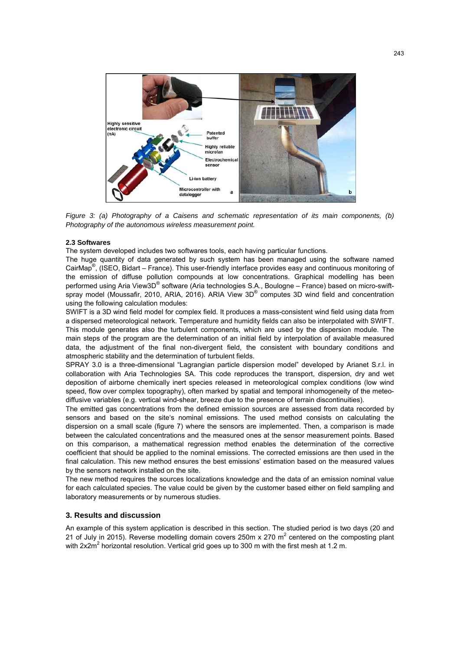

*Figure 3: (a) Photography of a Caisens and schematic representation of its main components, (b) Photography of the autonomous wireless measurement point.* 

#### **2.3 Softwares**

The system developed includes two softwares tools, each having particular functions.

The huge quantity of data generated by such system has been managed using the software named CairMap<sup>®</sup>, (ISEO, Bidart – France). This user-friendly interface provides easy and continuous monitoring of the emission of diffuse pollution compounds at low concentrations. Graphical modelling has been performed using Aria View3D® software (Aria technologies S.A., Boulogne – France) based on micro-swiftspray model (Moussafir, 2010, ARIA, 2016). ARIA View 3D® computes 3D wind field and concentration using the following calculation modules:

SWIFT is a 3D wind field model for complex field. It produces a mass-consistent wind field using data from a dispersed meteorological network. Temperature and humidity fields can also be interpolated with SWIFT. This module generates also the turbulent components, which are used by the dispersion module. The main steps of the program are the determination of an initial field by interpolation of available measured data, the adjustment of the final non-divergent field, the consistent with boundary conditions and atmospheric stability and the determination of turbulent fields.

SPRAY 3.0 is a three-dimensional "Lagrangian particle dispersion model" developed by Arianet S.r.l. in collaboration with Aria Technologies SA. This code reproduces the transport, dispersion, dry and wet deposition of airborne chemically inert species released in meteorological complex conditions (low wind speed, flow over complex topography), often marked by spatial and temporal inhomogeneity of the meteodiffusive variables (e.g. vertical wind-shear, breeze due to the presence of terrain discontinuities).

The emitted gas concentrations from the defined emission sources are assessed from data recorded by sensors and based on the site's nominal emissions. The used method consists on calculating the dispersion on a small scale (figure 7) where the sensors are implemented. Then, a comparison is made between the calculated concentrations and the measured ones at the sensor measurement points. Based on this comparison, a mathematical regression method enables the determination of the corrective coefficient that should be applied to the nominal emissions. The corrected emissions are then used in the final calculation. This new method ensures the best emissions' estimation based on the measured values by the sensors network installed on the site.

The new method requires the sources localizations knowledge and the data of an emission nominal value for each calculated species. The value could be given by the customer based either on field sampling and laboratory measurements or by numerous studies.

### **3. Results and discussion**

An example of this system application is described in this section. The studied period is two days (20 and 21 of July in 2015). Reverse modelling domain covers 250m x 270 m<sup>2</sup> centered on the composting plant with 2x2m<sup>2</sup> horizontal resolution. Vertical grid goes up to 300 m with the first mesh at 1.2 m.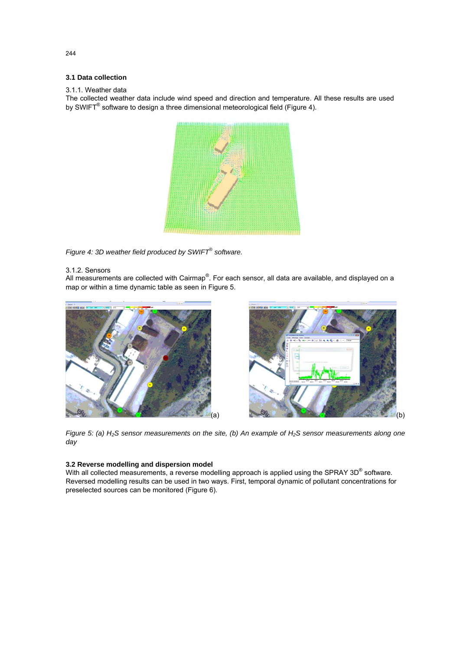# **3.1 Data collection**

#### 3.1.1. Weather data

The collected weather data include wind speed and direction and temperature. All these results are used by SWIFT<sup>®</sup> software to design a three dimensional meteorological field (Figure 4).



*Figure 4: 3D weather field produced by SWIFT® software.* 

### 3.1.2. Sensors

All measurements are collected with Cairmap®. For each sensor, all data are available, and displayed on a map or within a time dynamic table as seen in Figure 5.





*Figure 5: (a) H<sub>2</sub>S sensor measurements on the site, (b) An example of H<sub>2</sub>S sensor measurements along one day* 

### **3.2 Reverse modelling and dispersion model**

With all collected measurements, a reverse modelling approach is applied using the SPRAY 3D<sup>®</sup> software. Reversed modelling results can be used in two ways. First, temporal dynamic of pollutant concentrations for preselected sources can be monitored (Figure 6).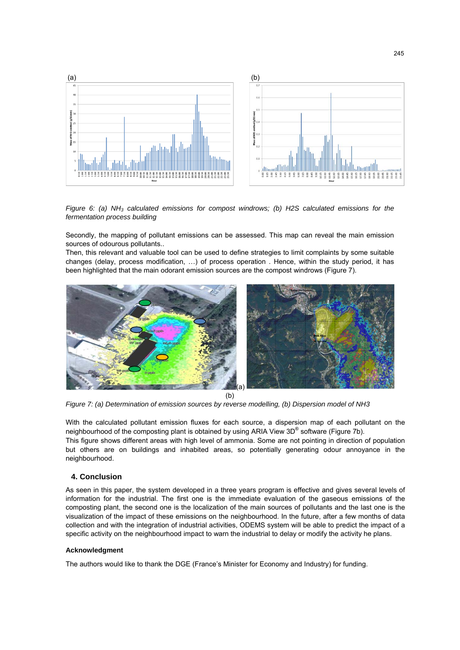

*Figure 6: (a) NH3 calculated emissions for compost windrows; (b) H2S calculated emissions for the fermentation process building* 

Secondly, the mapping of pollutant emissions can be assessed. This map can reveal the main emission sources of odourous pollutants..

Then, this relevant and valuable tool can be used to define strategies to limit complaints by some suitable changes (delay, process modification, …) of process operation . Hence, within the study period, it has been highlighted that the main odorant emission sources are the compost windrows (Figure 7).



*Figure 7: (a) Determination of emission sources by reverse modelling, (b) Dispersion model of NH3* 

With the calculated pollutant emission fluxes for each source, a dispersion map of each pollutant on the neighbourhood of the composting plant is obtained by using ARIA View 3D® software (Figure 7b). This figure shows different areas with high level of ammonia. Some are not pointing in direction of population but others are on buildings and inhabited areas, so potentially generating odour annoyance in the neighbourhood.

# **4. Conclusion**

As seen in this paper, the system developed in a three years program is effective and gives several levels of information for the industrial. The first one is the immediate evaluation of the gaseous emissions of the composting plant, the second one is the localization of the main sources of pollutants and the last one is the visualization of the impact of these emissions on the neighbourhood. In the future, after a few months of data collection and with the integration of industrial activities, ODEMS system will be able to predict the impact of a specific activity on the neighbourhood impact to warn the industrial to delay or modify the activity he plans.

#### **Acknowledgment**

The authors would like to thank the DGE (France's Minister for Economy and Industry) for funding.